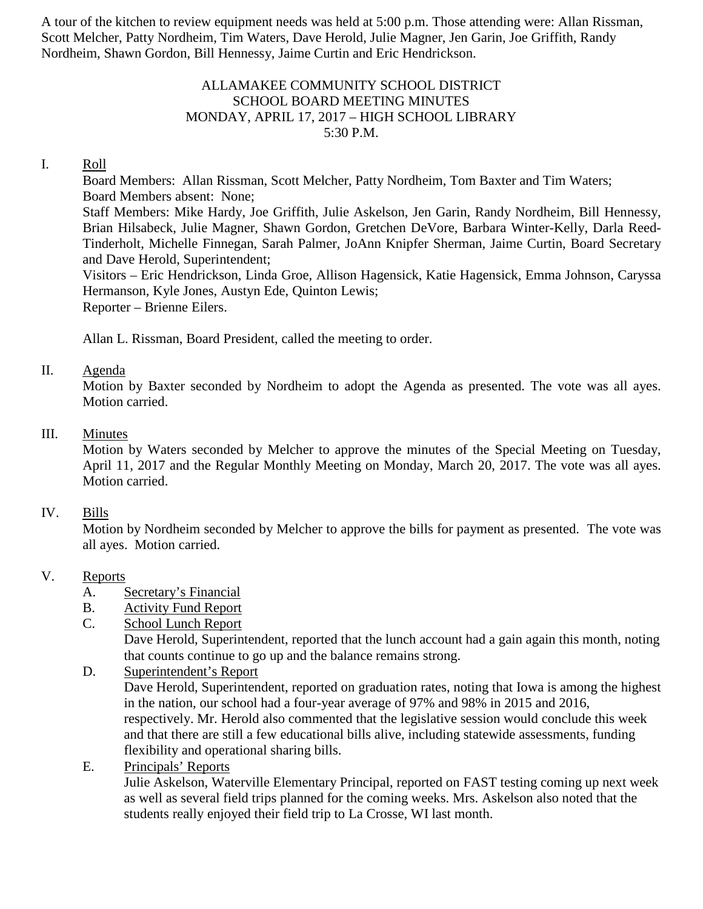A tour of the kitchen to review equipment needs was held at 5:00 p.m. Those attending were: Allan Rissman, Scott Melcher, Patty Nordheim, Tim Waters, Dave Herold, Julie Magner, Jen Garin, Joe Griffith, Randy Nordheim, Shawn Gordon, Bill Hennessy, Jaime Curtin and Eric Hendrickson.

## ALLAMAKEE COMMUNITY SCHOOL DISTRICT SCHOOL BOARD MEETING MINUTES MONDAY, APRIL 17, 2017 – HIGH SCHOOL LIBRARY 5:30 P.M.

## I. Roll

Board Members: Allan Rissman, Scott Melcher, Patty Nordheim, Tom Baxter and Tim Waters; Board Members absent: None; Staff Members: Mike Hardy, Joe Griffith, Julie Askelson, Jen Garin, Randy Nordheim, Bill Hennessy, Brian Hilsabeck, Julie Magner, Shawn Gordon, Gretchen DeVore, Barbara Winter-Kelly, Darla Reed-Tinderholt, Michelle Finnegan, Sarah Palmer, JoAnn Knipfer Sherman, Jaime Curtin, Board Secretary and Dave Herold, Superintendent;

Visitors – Eric Hendrickson, Linda Groe, Allison Hagensick, Katie Hagensick, Emma Johnson, Caryssa Hermanson, Kyle Jones, Austyn Ede, Quinton Lewis;

Reporter – Brienne Eilers.

Allan L. Rissman, Board President, called the meeting to order.

### II. Agenda

Motion by Baxter seconded by Nordheim to adopt the Agenda as presented. The vote was all ayes. Motion carried.

### III. Minutes

Motion by Waters seconded by Melcher to approve the minutes of the Special Meeting on Tuesday, April 11, 2017 and the Regular Monthly Meeting on Monday, March 20, 2017. The vote was all ayes. Motion carried.

### IV. Bills

Motion by Nordheim seconded by Melcher to approve the bills for payment as presented. The vote was all ayes. Motion carried.

### V. Reports

- A. Secretary's Financial
- B. Activity Fund Report
- C. School Lunch Report

Dave Herold, Superintendent, reported that the lunch account had a gain again this month, noting that counts continue to go up and the balance remains strong.

- D. Superintendent's Report Dave Herold, Superintendent, reported on graduation rates, noting that Iowa is among the highest in the nation, our school had a four-year average of 97% and 98% in 2015 and 2016, respectively. Mr. Herold also commented that the legislative session would conclude this week and that there are still a few educational bills alive, including statewide assessments, funding flexibility and operational sharing bills.
- E. Principals' Reports

Julie Askelson, Waterville Elementary Principal, reported on FAST testing coming up next week as well as several field trips planned for the coming weeks. Mrs. Askelson also noted that the students really enjoyed their field trip to La Crosse, WI last month.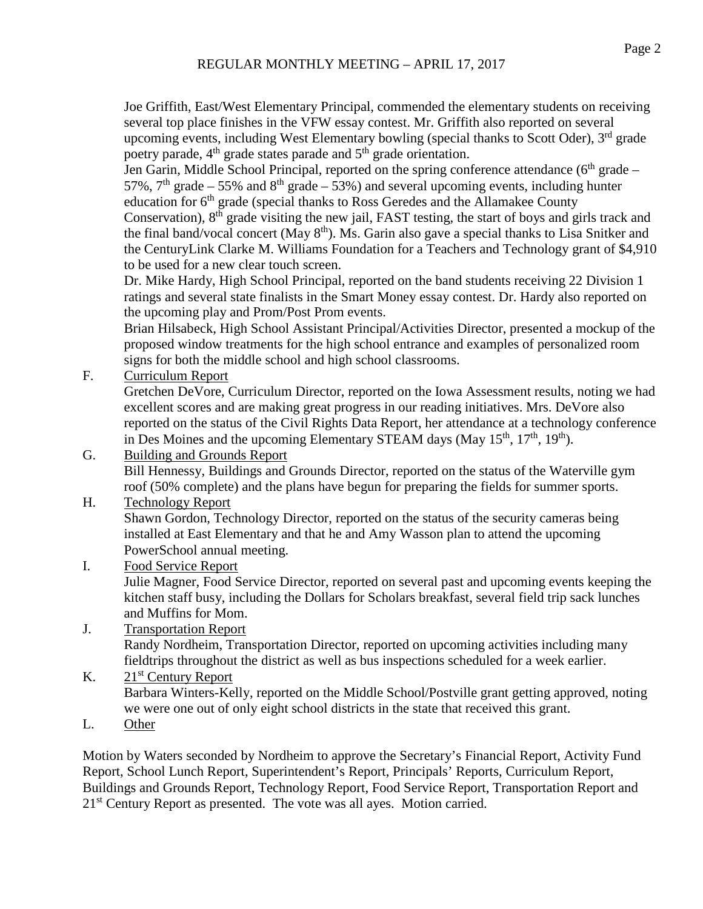Joe Griffith, East/West Elementary Principal, commended the elementary students on receiving several top place finishes in the VFW essay contest. Mr. Griffith also reported on several upcoming events, including West Elementary bowling (special thanks to Scott Oder), 3<sup>rd</sup> grade poetry parade,  $4<sup>th</sup>$  grade states parade and  $5<sup>th</sup>$  grade orientation.

Jen Garin, Middle School Principal, reported on the spring conference attendance ( $6<sup>th</sup>$  grade – 57%,  $7<sup>th</sup>$  grade – 55% and  $8<sup>th</sup>$  grade – 53%) and several upcoming events, including hunter education for 6<sup>th</sup> grade (special thanks to Ross Geredes and the Allamakee County Conservation), 8<sup>th</sup> grade visiting the new jail, FAST testing, the start of boys and girls track and the final band/vocal concert (May  $8<sup>th</sup>$ ). Ms. Garin also gave a special thanks to Lisa Snitker and the CenturyLink Clarke M. Williams Foundation for a Teachers and Technology grant of \$4,910 to be used for a new clear touch screen.

Dr. Mike Hardy, High School Principal, reported on the band students receiving 22 Division 1 ratings and several state finalists in the Smart Money essay contest. Dr. Hardy also reported on the upcoming play and Prom/Post Prom events.

Brian Hilsabeck, High School Assistant Principal/Activities Director, presented a mockup of the proposed window treatments for the high school entrance and examples of personalized room signs for both the middle school and high school classrooms.

F. Curriculum Report

Gretchen DeVore, Curriculum Director, reported on the Iowa Assessment results, noting we had excellent scores and are making great progress in our reading initiatives. Mrs. DeVore also reported on the status of the Civil Rights Data Report, her attendance at a technology conference in Des Moines and the upcoming Elementary STEAM days (May 15<sup>th</sup>, 17<sup>th</sup>, 19<sup>th</sup>).

G. Building and Grounds Report

Bill Hennessy, Buildings and Grounds Director, reported on the status of the Waterville gym roof (50% complete) and the plans have begun for preparing the fields for summer sports.

## H. Technology Report

Shawn Gordon, Technology Director, reported on the status of the security cameras being installed at East Elementary and that he and Amy Wasson plan to attend the upcoming PowerSchool annual meeting.

I. Food Service Report

Julie Magner, Food Service Director, reported on several past and upcoming events keeping the kitchen staff busy, including the Dollars for Scholars breakfast, several field trip sack lunches and Muffins for Mom.

J. Transportation Report Randy Nordheim, Transportation Director, reported on upcoming activities including many fieldtrips throughout the district as well as bus inspections scheduled for a week earlier.

# K.  $21<sup>st</sup>$  Century Report Barbara Winters-Kelly, reported on the Middle School/Postville grant getting approved, noting we were one out of only eight school districts in the state that received this grant.

L. Other

Motion by Waters seconded by Nordheim to approve the Secretary's Financial Report, Activity Fund Report, School Lunch Report, Superintendent's Report, Principals' Reports, Curriculum Report, Buildings and Grounds Report, Technology Report, Food Service Report, Transportation Report and  $21<sup>st</sup>$  Century Report as presented. The vote was all ayes. Motion carried.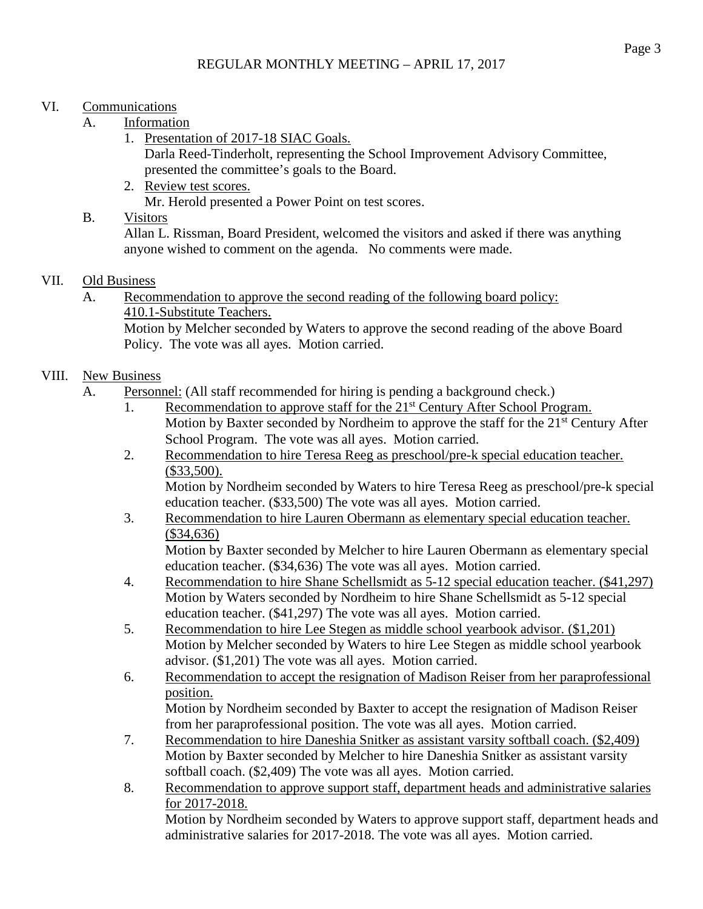## VI. Communications

- A. Information
	- 1. Presentation of 2017-18 SIAC Goals.

Darla Reed-Tinderholt, representing the School Improvement Advisory Committee, presented the committee's goals to the Board.

2. Review test scores.

Mr. Herold presented a Power Point on test scores.

# B. Visitors

Allan L. Rissman, Board President, welcomed the visitors and asked if there was anything anyone wished to comment on the agenda. No comments were made.

# VII. Old Business

A. Recommendation to approve the second reading of the following board policy: 410.1-Substitute Teachers.

Motion by Melcher seconded by Waters to approve the second reading of the above Board Policy. The vote was all ayes. Motion carried.

# VIII. New Business

- A. Personnel: (All staff recommended for hiring is pending a background check.)
	- 1. Recommendation to approve staff for the 21<sup>st</sup> Century After School Program. Motion by Baxter seconded by Nordheim to approve the staff for the  $21<sup>st</sup>$  Century After School Program. The vote was all ayes. Motion carried.
	- 2. Recommendation to hire Teresa Reeg as preschool/pre-k special education teacher. (\$33,500).

Motion by Nordheim seconded by Waters to hire Teresa Reeg as preschool/pre-k special education teacher. (\$33,500) The vote was all ayes. Motion carried.

3. Recommendation to hire Lauren Obermann as elementary special education teacher. (\$34,636)

Motion by Baxter seconded by Melcher to hire Lauren Obermann as elementary special education teacher. (\$34,636) The vote was all ayes. Motion carried.

- 4. Recommendation to hire Shane Schellsmidt as 5-12 special education teacher. (\$41,297) Motion by Waters seconded by Nordheim to hire Shane Schellsmidt as 5-12 special education teacher. (\$41,297) The vote was all ayes. Motion carried.
- 5. Recommendation to hire Lee Stegen as middle school yearbook advisor. (\$1,201) Motion by Melcher seconded by Waters to hire Lee Stegen as middle school yearbook advisor. (\$1,201) The vote was all ayes. Motion carried.
- 6. Recommendation to accept the resignation of Madison Reiser from her paraprofessional position. Motion by Nordheim seconded by Baxter to accept the resignation of Madison Reiser

from her paraprofessional position. The vote was all ayes. Motion carried.

- 7. Recommendation to hire Daneshia Snitker as assistant varsity softball coach. (\$2,409) Motion by Baxter seconded by Melcher to hire Daneshia Snitker as assistant varsity softball coach. (\$2,409) The vote was all ayes. Motion carried.
- 8. Recommendation to approve support staff, department heads and administrative salaries for 2017-2018.

Motion by Nordheim seconded by Waters to approve support staff, department heads and administrative salaries for 2017-2018. The vote was all ayes. Motion carried.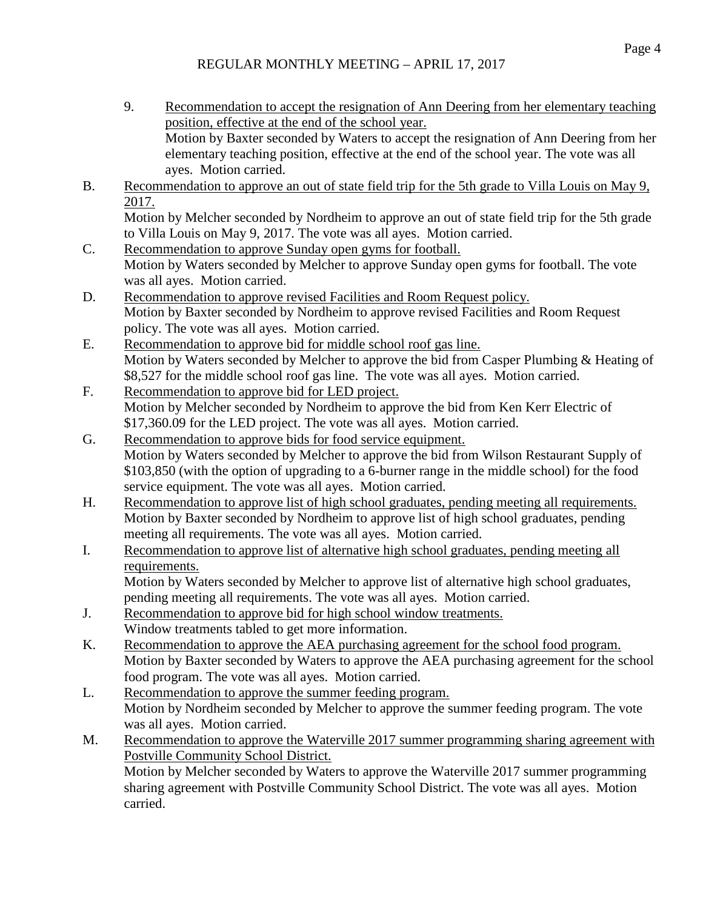- 9. Recommendation to accept the resignation of Ann Deering from her elementary teaching position, effective at the end of the school year. Motion by Baxter seconded by Waters to accept the resignation of Ann Deering from her elementary teaching position, effective at the end of the school year. The vote was all ayes. Motion carried.
- B. Recommendation to approve an out of state field trip for the 5th grade to Villa Louis on May 9, 2017. Motion by Melcher seconded by Nordheim to approve an out of state field trip for the 5th grade

to Villa Louis on May 9, 2017. The vote was all ayes. Motion carried.

- C. Recommendation to approve Sunday open gyms for football. Motion by Waters seconded by Melcher to approve Sunday open gyms for football. The vote was all ayes. Motion carried.
- D. Recommendation to approve revised Facilities and Room Request policy. Motion by Baxter seconded by Nordheim to approve revised Facilities and Room Request policy. The vote was all ayes. Motion carried.
- E. Recommendation to approve bid for middle school roof gas line. Motion by Waters seconded by Melcher to approve the bid from Casper Plumbing & Heating of \$8,527 for the middle school roof gas line. The vote was all ayes. Motion carried.
- F. Recommendation to approve bid for LED project. Motion by Melcher seconded by Nordheim to approve the bid from Ken Kerr Electric of \$17,360.09 for the LED project. The vote was all ayes. Motion carried.
- G. Recommendation to approve bids for food service equipment. Motion by Waters seconded by Melcher to approve the bid from Wilson Restaurant Supply of \$103,850 (with the option of upgrading to a 6-burner range in the middle school) for the food service equipment. The vote was all ayes. Motion carried.
- H. Recommendation to approve list of high school graduates, pending meeting all requirements. Motion by Baxter seconded by Nordheim to approve list of high school graduates, pending meeting all requirements. The vote was all ayes. Motion carried.
- I. Recommendation to approve list of alternative high school graduates, pending meeting all requirements.

Motion by Waters seconded by Melcher to approve list of alternative high school graduates, pending meeting all requirements. The vote was all ayes. Motion carried.

- J. Recommendation to approve bid for high school window treatments. Window treatments tabled to get more information.
- K. Recommendation to approve the AEA purchasing agreement for the school food program. Motion by Baxter seconded by Waters to approve the AEA purchasing agreement for the school food program. The vote was all ayes. Motion carried.
- L. Recommendation to approve the summer feeding program. Motion by Nordheim seconded by Melcher to approve the summer feeding program. The vote was all ayes. Motion carried.
- M. Recommendation to approve the Waterville 2017 summer programming sharing agreement with Postville Community School District.

Motion by Melcher seconded by Waters to approve the Waterville 2017 summer programming sharing agreement with Postville Community School District. The vote was all ayes. Motion carried.